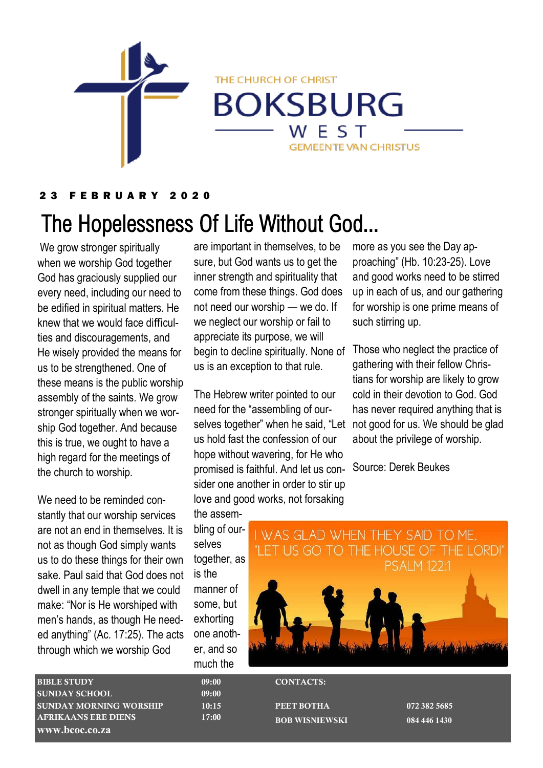

2 3 F E B R U A R Y 2 0 2 0

# The Hopelessness Of Life Without God...

We grow stronger spiritually when we worship God together God has graciously supplied our every need, including our need to be edified in spiritual matters. He knew that we would face difficulties and discouragements, and He wisely provided the means for us to be strengthened. One of these means is the public worship assembly of the saints. We grow stronger spiritually when we worship God together. And because this is true, we ought to have a high regard for the meetings of the church to worship.

We need to be reminded constantly that our worship services are not an end in themselves. It is not as though God simply wants us to do these things for their own sake. Paul said that God does not dwell in any temple that we could make: "Nor is He worshiped with men's hands, as though He needed anything" (Ac. 17:25). The acts through which we worship God

are important in themselves, to be sure, but God wants us to get the inner strength and spirituality that come from these things. God does not need our worship — we do. If we neglect our worship or fail to appreciate its purpose, we will begin to decline spiritually. None of us is an exception to that rule.

THE CHURCH OF CHRIST

**BOKSBURG** 

WEST

**GEMEENTE VAN CHRISTUS** 

The Hebrew writer pointed to our need for the "assembling of ourselves together" when he said, "Let not good for us. We should be glad us hold fast the confession of our hope without wavering, for He who promised is faithful. And let us consider one another in order to stir up love and good works, not forsaking

the assembling of ourselves together, as is the manner of some, but exhorting one another, and so much the

more as you see the Day approaching" (Hb. 10:23-25). Love and good works need to be stirred up in each of us, and our gathering for worship is one prime means of such stirring up.

Those who neglect the practice of gathering with their fellow Christians for worship are likely to grow cold in their devotion to God. God has never required anything that is about the privilege of worship.

Source: Derek Beukes



BIBLE STUDY 09:00 SUNDAY SCHOOL 09:00 SUNDAY MORNING WORSHIP 10:15 AFRIKAANS ERE DIENS 17:00 **www.bcoc.co.za**

CONTACTS:

PEET BOTHA 072 382 5685 **BOB WISNIEWSKI 084 446 1430**